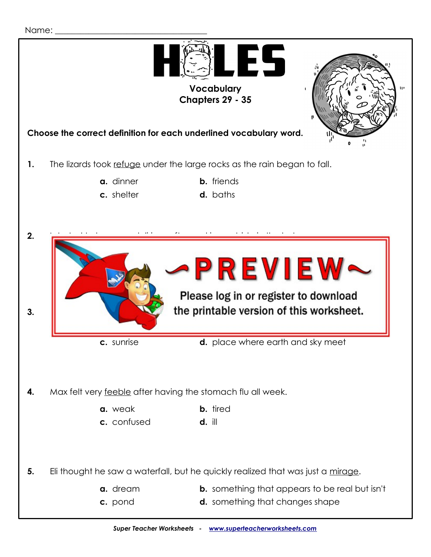